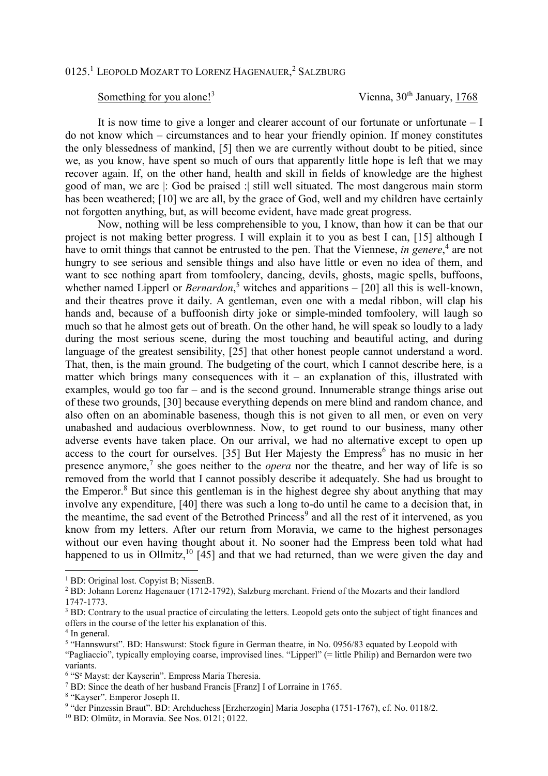## 0125.<sup>1</sup> LEOPOLD MOZART TO LORENZ HAGENAUER, <sup>2</sup> SALZBURG

## Something for you alone!<sup>3</sup>

Vienna, 30<sup>th</sup> January, 1768

 It is now time to give a longer and clearer account of our fortunate or unfortunate – I do not know which – circumstances and to hear your friendly opinion. If money constitutes the only blessedness of mankind, [5] then we are currently without doubt to be pitied, since we, as you know, have spent so much of ours that apparently little hope is left that we may recover again. If, on the other hand, health and skill in fields of knowledge are the highest good of man, we are |: God be praised :| still well situated. The most dangerous main storm has been weathered; [10] we are all, by the grace of God, well and my children have certainly not forgotten anything, but, as will become evident, have made great progress.

 Now, nothing will be less comprehensible to you, I know, than how it can be that our project is not making better progress. I will explain it to you as best I can, [15] although I have to omit things that cannot be entrusted to the pen. That the Viennese, *in genere*,<sup>4</sup> are not hungry to see serious and sensible things and also have little or even no idea of them, and want to see nothing apart from tomfoolery, dancing, devils, ghosts, magic spells, buffoons, whether named Lipperl or *Bernardon*,<sup>5</sup> witches and apparitions – [20] all this is well-known, and their theatres prove it daily. A gentleman, even one with a medal ribbon, will clap his hands and, because of a buffoonish dirty joke or simple-minded tomfoolery, will laugh so much so that he almost gets out of breath. On the other hand, he will speak so loudly to a lady during the most serious scene, during the most touching and beautiful acting, and during language of the greatest sensibility, [25] that other honest people cannot understand a word. That, then, is the main ground. The budgeting of the court, which I cannot describe here, is a matter which brings many consequences with  $it -$  an explanation of this, illustrated with examples, would go too far – and is the second ground. Innumerable strange things arise out of these two grounds, [30] because everything depends on mere blind and random chance, and also often on an abominable baseness, though this is not given to all men, or even on very unabashed and audacious overblownness. Now, to get round to our business, many other adverse events have taken place. On our arrival, we had no alternative except to open up access to the court for ourselves. [35] But Her Majesty the Empress<sup>6</sup> has no music in her presence anymore,<sup>7</sup> she goes neither to the *opera* nor the theatre, and her way of life is so removed from the world that I cannot possibly describe it adequately. She had us brought to the Emperor.<sup>8</sup> But since this gentleman is in the highest degree shy about anything that may involve any expenditure, [40] there was such a long to-do until he came to a decision that, in the meantime, the sad event of the Betrothed Princess<sup>9</sup> and all the rest of it intervened, as you know from my letters. After our return from Moravia, we came to the highest personages without our even having thought about it. No sooner had the Empress been told what had happened to us in Ollmitz,  $\frac{10}{145}$  and that we had returned, than we were given the day and

 $\overline{a}$ 

<sup>&</sup>lt;sup>1</sup> BD: Original lost. Copyist B; NissenB.

<sup>&</sup>lt;sup>2</sup> BD: Johann Lorenz Hagenauer (1712-1792), Salzburg merchant. Friend of the Mozarts and their landlord 1747-1773.

<sup>&</sup>lt;sup>3</sup> BD: Contrary to the usual practice of circulating the letters. Leopold gets onto the subject of tight finances and offers in the course of the letter his explanation of this.

<sup>4</sup> In general.

<sup>&</sup>lt;sup>5</sup> "Hannswurst". BD: Hanswurst: Stock figure in German theatre, in No. 0956/83 equated by Leopold with "Pagliaccio", typically employing coarse, improvised lines. "Lipperl" (= little Philip) and Bernardon were two variants.

<sup>&</sup>lt;sup>6</sup> "S<sup>e</sup> Mayst: der Kayserin". Empress Maria Theresia.

<sup>&</sup>lt;sup>7</sup> BD: Since the death of her husband Francis [Franz] I of Lorraine in 1765.

<sup>&</sup>lt;sup>8</sup> "Kayser". Emperor Joseph II.

<sup>9</sup> "der Pinzessin Braut". BD: Archduchess [Erzherzogin] Maria Josepha (1751-1767), cf. No. 0118/2.

<sup>10</sup> BD: Olmütz, in Moravia. See Nos. 0121; 0122.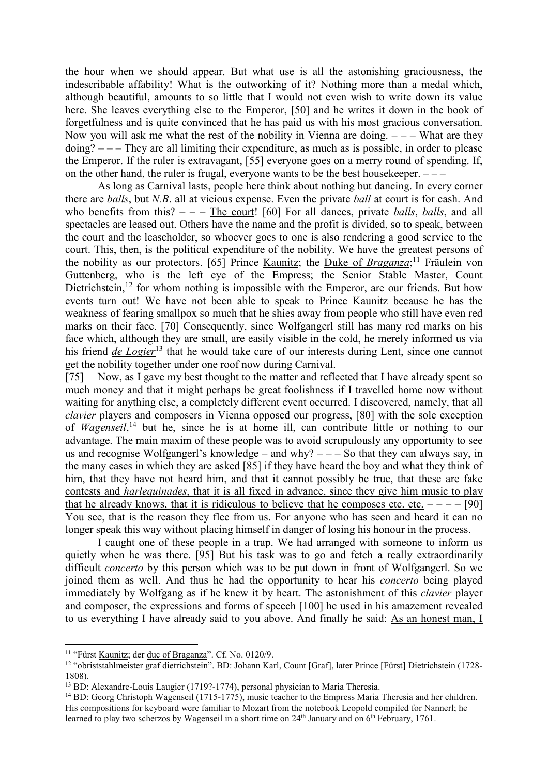the hour when we should appear. But what use is all the astonishing graciousness, the indescribable affability! What is the outworking of it? Nothing more than a medal which, although beautiful, amounts to so little that I would not even wish to write down its value here. She leaves everything else to the Emperor, [50] and he writes it down in the book of forgetfulness and is quite convinced that he has paid us with his most gracious conversation. Now you will ask me what the rest of the nobility in Vienna are doing.  $---$  What are they  $\phi$  doing?  $---$  They are all limiting their expenditure, as much as is possible, in order to please the Emperor. If the ruler is extravagant, [55] everyone goes on a merry round of spending. If, on the other hand, the ruler is frugal, everyone wants to be the best housekeeper. – – –

 As long as Carnival lasts, people here think about nothing but dancing. In every corner there are *balls*, but *N.B*. all at vicious expense. Even the private *ball* at court is for cash. And who benefits from this?  $-$  – The court! [60] For all dances, private *balls*, *balls*, and all spectacles are leased out. Others have the name and the profit is divided, so to speak, between the court and the leaseholder, so whoever goes to one is also rendering a good service to the court. This, then, is the political expenditure of the nobility. We have the greatest persons of the nobility as our protectors. [65] Prince *Kaunitz*; the *Duke of Braganza*;<sup>11</sup> Fräulein von Guttenberg, who is the left eye of the Empress; the Senior Stable Master, Count Dietrichstein,<sup>12</sup> for whom nothing is impossible with the Emperor, are our friends. But how events turn out! We have not been able to speak to Prince Kaunitz because he has the weakness of fearing smallpox so much that he shies away from people who still have even red marks on their face. [70] Consequently, since Wolfgangerl still has many red marks on his face which, although they are small, are easily visible in the cold, he merely informed us via his friend *de Logier*<sup>13</sup> that he would take care of our interests during Lent, since one cannot get the nobility together under one roof now during Carnival.

[75] Now, as I gave my best thought to the matter and reflected that I have already spent so much money and that it might perhaps be great foolishness if I travelled home now without waiting for anything else, a completely different event occurred. I discovered, namely, that all *clavier* players and composers in Vienna opposed our progress, [80] with the sole exception of *Wagenseil*, <sup>14</sup> but he, since he is at home ill, can contribute little or nothing to our advantage. The main maxim of these people was to avoid scrupulously any opportunity to see us and recognise Wolfgangerl's knowledge – and why?  $---$  So that they can always say, in the many cases in which they are asked [85] if they have heard the boy and what they think of him, that they have not heard him, and that it cannot possibly be true, that these are fake contests and *harlequinades*, that it is all fixed in advance, since they give him music to play that he already knows, that it is ridiculous to believe that he composes etc. etc.  $---$  [90] You see, that is the reason they flee from us. For anyone who has seen and heard it can no longer speak this way without placing himself in danger of losing his honour in the process.

 I caught one of these people in a trap. We had arranged with someone to inform us quietly when he was there. [95] But his task was to go and fetch a really extraordinarily difficult *concerto* by this person which was to be put down in front of Wolfgangerl. So we joined them as well. And thus he had the opportunity to hear his *concerto* being played immediately by Wolfgang as if he knew it by heart. The astonishment of this *clavier* player and composer, the expressions and forms of speech [100] he used in his amazement revealed to us everything I have already said to you above. And finally he said: As an honest man, I

 $\overline{a}$ 

<sup>11</sup> "Fürst Kaunitz; der duc of Braganza". Cf. No. 0120/9.

<sup>12</sup> "obriststahlmeister graf dietrichstein". BD: Johann Karl, Count [Graf], later Prince [Fürst] Dietrichstein (1728- 1808).

<sup>13</sup> BD: Alexandre-Louis Laugier (1719?-1774), personal physician to Maria Theresia.

<sup>&</sup>lt;sup>14</sup> BD: Georg Christoph Wagenseil (1715-1775), music teacher to the Empress Maria Theresia and her children. His compositions for keyboard were familiar to Mozart from the notebook Leopold compiled for Nannerl; he learned to play two scherzos by Wagenseil in a short time on 24<sup>th</sup> January and on 6<sup>th</sup> February, 1761.